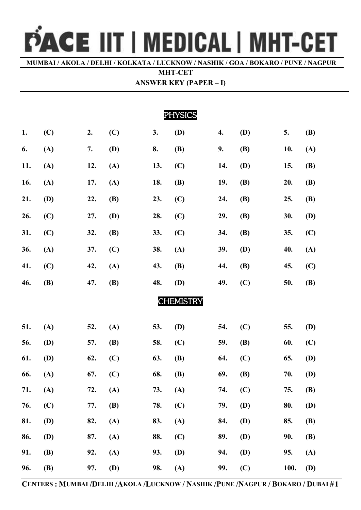## PACE IIT | MEDICAL | MHT-CET

**MUMBAI / AKOLA / DELHI / KOLKATA / LUCKNOW / NASHIK / GOA / BOKARO / PUNE / NAGPUR**

 **MHT-CET** 

| <b>ANSWER KEY (PAPER – I)</b> |  |  |  |
|-------------------------------|--|--|--|
|-------------------------------|--|--|--|

| <b>PHYSICS</b> |            |     |            |     |                  |     |            |      |            |
|----------------|------------|-----|------------|-----|------------------|-----|------------|------|------------|
| 1.             | (C)        | 2.  | (C)        | 3.  | (D)              | 4.  | <b>(D)</b> | 5.   | <b>(B)</b> |
| 6.             | (A)        | 7.  | <b>(D)</b> | 8.  | <b>(B)</b>       | 9.  | <b>(B)</b> | 10.  | (A)        |
| 11.            | (A)        | 12. | (A)        | 13. | (C)              | 14. | <b>(D)</b> | 15.  | <b>(B)</b> |
| 16.            | (A)        | 17. | (A)        | 18. | <b>(B)</b>       | 19. | <b>(B)</b> | 20.  | <b>(B)</b> |
| 21.            | (D)        | 22. | <b>(B)</b> | 23. | (C)              | 24. | <b>(B)</b> | 25.  | <b>(B)</b> |
| 26.            | (C)        | 27. | <b>(D)</b> | 28. | (C)              | 29. | <b>(B)</b> | 30.  | <b>(D)</b> |
| 31.            | (C)        | 32. | <b>(B)</b> | 33. | (C)              | 34. | <b>(B)</b> | 35.  | (C)        |
| 36.            | (A)        | 37. | (C)        | 38. | (A)              | 39. | <b>(D)</b> | 40.  | (A)        |
| 41.            | (C)        | 42. | (A)        | 43. | <b>(B)</b>       | 44. | <b>(B)</b> | 45.  | (C)        |
| 46.            | <b>(B)</b> | 47. | <b>(B)</b> | 48. | (D)              | 49. | (C)        | 50.  | <b>(B)</b> |
|                |            |     |            |     | <b>CHEMISTRY</b> |     |            |      |            |
|                |            |     |            |     |                  |     |            |      |            |
| 51.            | (A)        | 52. | (A)        | 53. | (D)              | 54. | (C)        | 55.  | <b>(D)</b> |
| 56.            | <b>(D)</b> | 57. | <b>(B)</b> | 58. | (C)              | 59. | <b>(B)</b> | 60.  | (C)        |
| 61.            | <b>(D)</b> | 62. | (C)        | 63. | <b>(B)</b>       | 64. | (C)        | 65.  | <b>(D)</b> |
| 66.            | (A)        | 67. | (C)        | 68. | <b>(B)</b>       | 69. | <b>(B)</b> | 70.  | (D)        |
| 71.            | (A)        | 72. | (A)        | 73. | (A)              | 74. | (C)        | 75.  | <b>(B)</b> |
| 76.            | (C)        | 77. | <b>(B)</b> | 78. | (C)              | 79. | <b>(D)</b> | 80.  | (D)        |
| 81.            | <b>(D)</b> | 82. | (A)        | 83. | (A)              | 84. | <b>(D)</b> | 85.  | <b>(B)</b> |
| 86.            | <b>(D)</b> | 87. | (A)        | 88. | (C)              | 89. | <b>(D)</b> | 90.  | <b>(B)</b> |
| 91.            | <b>(B)</b> | 92. | (A)        | 93. | (D)              | 94. | <b>(D)</b> | 95.  | (A)        |
| 96.            | <b>(B)</b> | 97. | <b>(D)</b> | 98. | (A)              | 99. | (C)        | 100. | <b>(D)</b> |

**CENTERS : MUMBAI /DELHI /AKOLA /LUCKNOW / NASHIK /PUNE /NAGPUR / BOKARO / DUBAI #1**